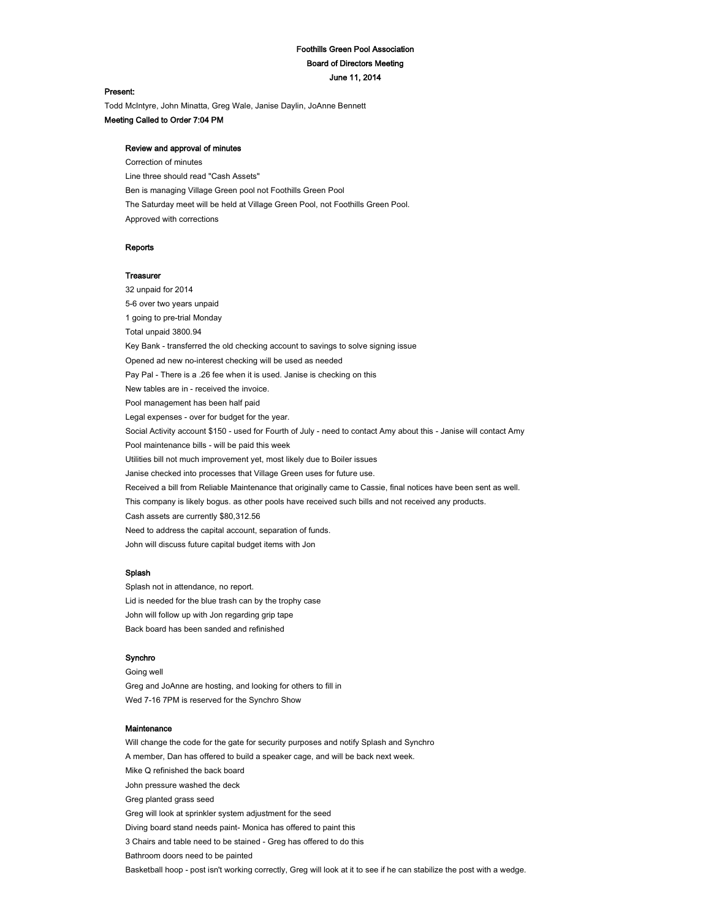# Foothills Green Pool Association Board of Directors Meeting June 11, 2014

#### Present:

Todd McIntyre, John Minatta, Greg Wale, Janise Daylin, JoAnne Bennett Meeting Called to Order 7:04 PM

## Review and approval of minutes

Correction of minutes Line three should read "Cash Assets" Ben is managing Village Green pool not Foothills Green Pool The Saturday meet will be held at Village Green Pool, not Foothills Green Pool. Approved with corrections

### Reports

## **Treasurer**

32 unpaid for 2014 5-6 over two years unpaid 1 going to pre-trial Monday Total unpaid 3800.94 Key Bank - transferred the old checking account to savings to solve signing issue Opened ad new no-interest checking will be used as needed Pay Pal - There is a .26 fee when it is used. Janise is checking on this New tables are in - received the invoice. Pool management has been half paid Legal expenses - over for budget for the year. Social Activity account \$150 - used for Fourth of July - need to contact Amy about this - Janise will contact Amy Pool maintenance bills - will be paid this week Utilities bill not much improvement yet, most likely due to Boiler issues Janise checked into processes that Village Green uses for future use. Received a bill from Reliable Maintenance that originally came to Cassie, final notices have been sent as well. This company is likely bogus. as other pools have received such bills and not received any products. Cash assets are currently \$80,312.56 Need to address the capital account, separation of funds. John will discuss future capital budget items with Jon

## Splash

Splash not in attendance, no report. Lid is needed for the blue trash can by the trophy case John will follow up with Jon regarding grip tape Back board has been sanded and refinished

#### Synchro

Going well Greg and JoAnne are hosting, and looking for others to fill in Wed 7-16 7PM is reserved for the Synchro Show

### Maintenance

Will change the code for the gate for security purposes and notify Splash and Synchro A member, Dan has offered to build a speaker cage, and will be back next week. Mike Q refinished the back board John pressure washed the deck Greg planted grass seed Greg will look at sprinkler system adjustment for the seed Diving board stand needs paint- Monica has offered to paint this 3 Chairs and table need to be stained - Greg has offered to do this Bathroom doors need to be painted

Basketball hoop - post isn't working correctly, Greg will look at it to see if he can stabilize the post with a wedge.